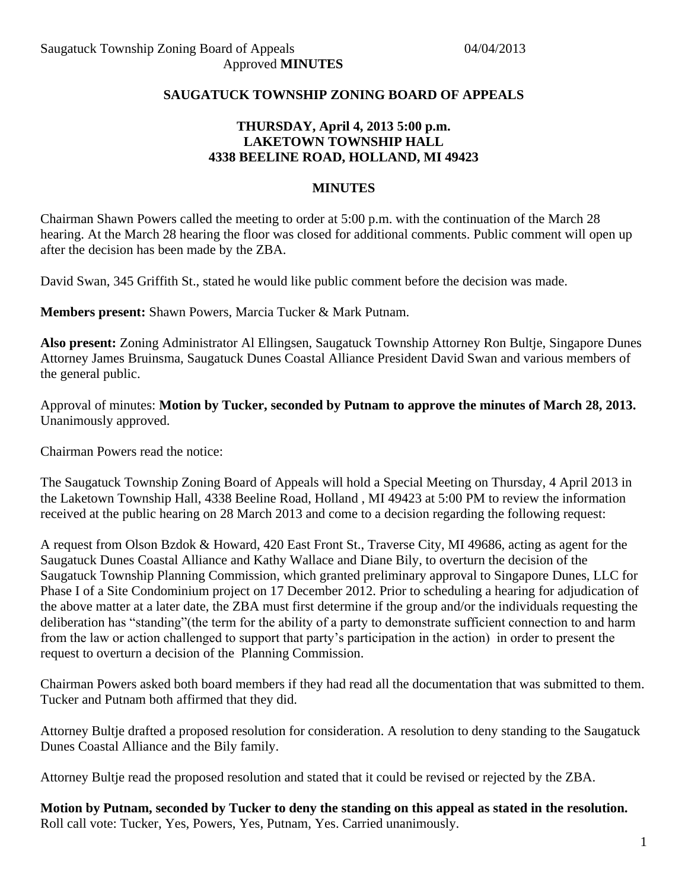## **SAUGATUCK TOWNSHIP ZONING BOARD OF APPEALS**

## **THURSDAY, April 4, 2013 5:00 p.m. LAKETOWN TOWNSHIP HALL 4338 BEELINE ROAD, HOLLAND, MI 49423**

#### **MINUTES**

Chairman Shawn Powers called the meeting to order at 5:00 p.m. with the continuation of the March 28 hearing. At the March 28 hearing the floor was closed for additional comments. Public comment will open up after the decision has been made by the ZBA.

David Swan, 345 Griffith St., stated he would like public comment before the decision was made.

**Members present:** Shawn Powers, Marcia Tucker & Mark Putnam.

**Also present:** Zoning Administrator Al Ellingsen, Saugatuck Township Attorney Ron Bultje, Singapore Dunes Attorney James Bruinsma, Saugatuck Dunes Coastal Alliance President David Swan and various members of the general public.

Approval of minutes: **Motion by Tucker, seconded by Putnam to approve the minutes of March 28, 2013.** Unanimously approved.

Chairman Powers read the notice:

The Saugatuck Township Zoning Board of Appeals will hold a Special Meeting on Thursday, 4 April 2013 in the Laketown Township Hall, 4338 Beeline Road, Holland , MI 49423 at 5:00 PM to review the information received at the public hearing on 28 March 2013 and come to a decision regarding the following request:

A request from Olson Bzdok & Howard, 420 East Front St., Traverse City, MI 49686, acting as agent for the Saugatuck Dunes Coastal Alliance and Kathy Wallace and Diane Bily, to overturn the decision of the Saugatuck Township Planning Commission, which granted preliminary approval to Singapore Dunes, LLC for Phase I of a Site Condominium project on 17 December 2012. Prior to scheduling a hearing for adjudication of the above matter at a later date, the ZBA must first determine if the group and/or the individuals requesting the deliberation has "standing"(the term for the ability of a party to demonstrate sufficient connection to and harm from the law or action challenged to support that party's participation in the action) in order to present the request to overturn a decision of the Planning Commission.

Chairman Powers asked both board members if they had read all the documentation that was submitted to them. Tucker and Putnam both affirmed that they did.

Attorney Bultje drafted a proposed resolution for consideration. A resolution to deny standing to the Saugatuck Dunes Coastal Alliance and the Bily family.

Attorney Bultje read the proposed resolution and stated that it could be revised or rejected by the ZBA.

**Motion by Putnam, seconded by Tucker to deny the standing on this appeal as stated in the resolution.** Roll call vote: Tucker, Yes, Powers, Yes, Putnam, Yes. Carried unanimously.